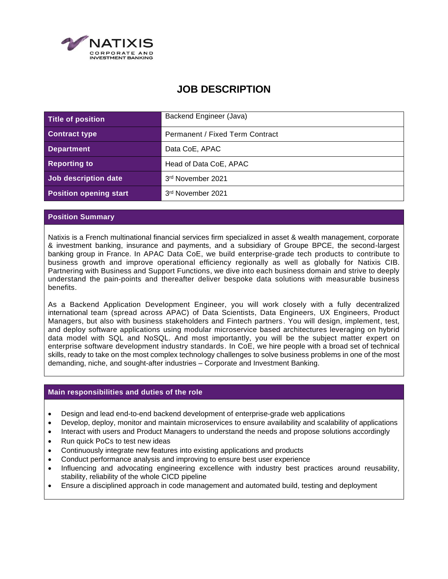

# **JOB DESCRIPTION**

| Title of position             | Backend Engineer (Java)         |
|-------------------------------|---------------------------------|
| <b>Contract type</b>          | Permanent / Fixed Term Contract |
| <b>Department</b>             | Data CoE, APAC                  |
| <b>Reporting to</b>           | Head of Data CoE, APAC          |
| Job description date          | 3rd November 2021               |
| <b>Position opening start</b> | 3rd November 2021               |

## **Position Summary**

Natixis is a French multinational financial services firm specialized in asset & wealth management, corporate & investment banking, insurance and payments, and a subsidiary of Groupe BPCE, the second-largest banking group in France. In APAC Data CoE, we build enterprise-grade tech products to contribute to business growth and improve operational efficiency regionally as well as globally for Natixis CIB. Partnering with Business and Support Functions, we dive into each business domain and strive to deeply understand the pain-points and thereafter deliver bespoke data solutions with measurable business benefits.

As a Backend Application Development Engineer, you will work closely with a fully decentralized international team (spread across APAC) of Data Scientists, Data Engineers, UX Engineers, Product Managers, but also with business stakeholders and Fintech partners. You will design, implement, test, and deploy software applications using modular microservice based architectures leveraging on hybrid data model with SQL and NoSQL. And most importantly, you will be the subject matter expert on enterprise software development industry standards. In CoE, we hire people with a broad set of technical skills, ready to take on the most complex technology challenges to solve business problems in one of the most demanding, niche, and sought-after industries – Corporate and Investment Banking.

### **Main responsibilities and duties of the role**

- Design and lead end-to-end backend development of enterprise-grade web applications
- Develop, deploy, monitor and maintain microservices to ensure availability and scalability of applications
- Interact with users and Product Managers to understand the needs and propose solutions accordingly
- Run quick PoCs to test new ideas
- Continuously integrate new features into existing applications and products
- Conduct performance analysis and improving to ensure best user experience
- Influencing and advocating engineering excellence with industry best practices around reusability, stability, reliability of the whole CICD pipeline
- Ensure a disciplined approach in code management and automated build, testing and deployment